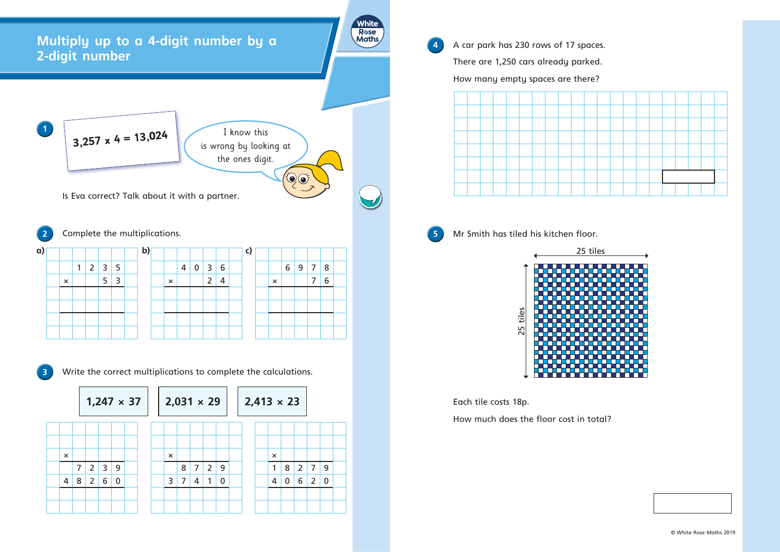